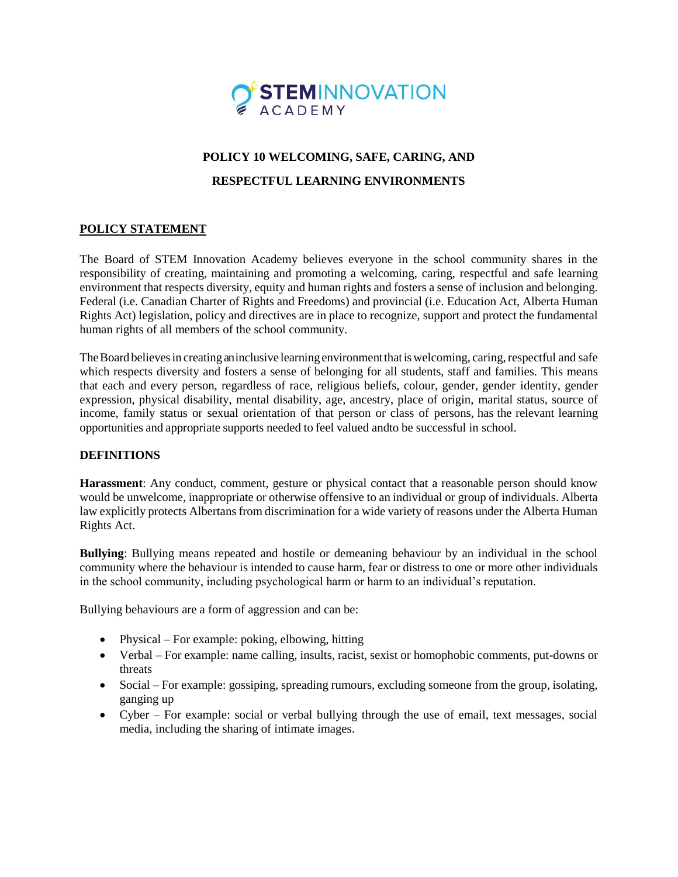

# **POLICY 10 WELCOMING, SAFE, CARING, AND**

## **RESPECTFUL LEARNING ENVIRONMENTS**

## **POLICY STATEMENT**

The Board of STEM Innovation Academy believes everyone in the school community shares in the responsibility of creating, maintaining and promoting a welcoming, caring, respectful and safe learning environment that respects diversity, equity and human rights and fosters a sense of inclusion and belonging. Federal (i.e. Canadian Charter of Rights and Freedoms) and provincial (i.e. Education Act, Alberta Human Rights Act) legislation, policy and directives are in place to recognize, support and protect the fundamental human rights of all members of the school community.

The Board believes in creating an inclusive learning environment that is welcoming, caring, respectful and safe which respects diversity and fosters a sense of belonging for all students, staff and families. This means that each and every person, regardless of race, religious beliefs, colour, gender, gender identity, gender expression, physical disability, mental disability, age, ancestry, place of origin, marital status, source of income, family status or sexual orientation of that person or class of persons, has the relevant learning opportunities and appropriate supports needed to feel valued andto be successful in school.

#### **DEFINITIONS**

**Harassment**: Any conduct, comment, gesture or physical contact that a reasonable person should know would be unwelcome, inappropriate or otherwise offensive to an individual or group of individuals. Alberta law explicitly protects Albertans from discrimination for a wide variety of reasons under the Alberta Human Rights Act.

**Bullying**: Bullying means repeated and hostile or demeaning behaviour by an individual in the school community where the behaviour is intended to cause harm, fear or distress to one or more other individuals in the school community, including psychological harm or harm to an individual's reputation.

Bullying behaviours are a form of aggression and can be:

- Physical For example: poking, elbowing, hitting
- Verbal For example: name calling, insults, racist, sexist or homophobic comments, put-downs or threats
- Social For example: gossiping, spreading rumours, excluding someone from the group, isolating, ganging up
- Cyber For example: social or verbal bullying through the use of email, text messages, social media, including the sharing of intimate images.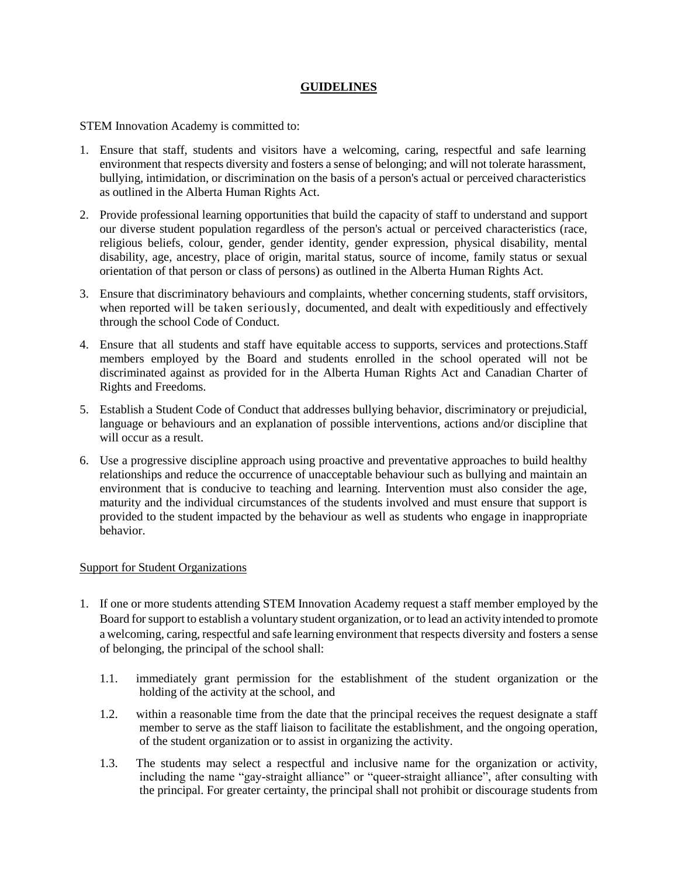### **GUIDELINES**

STEM Innovation Academy is committed to:

- 1. Ensure that staff, students and visitors have a welcoming, caring, respectful and safe learning environment that respects diversity and fosters a sense of belonging; and will not tolerate harassment, bullying, intimidation, or discrimination on the basis of a person's actual or perceived characteristics as outlined in the Alberta Human Rights Act.
- 2. Provide professional learning opportunities that build the capacity of staff to understand and support our diverse student population regardless of the person's actual or perceived characteristics (race, religious beliefs, colour, gender, gender identity, gender expression, physical disability, mental disability, age, ancestry, place of origin, marital status, source of income, family status or sexual orientation of that person or class of persons) as outlined in the Alberta Human Rights Act.
- 3. Ensure that discriminatory behaviours and complaints, whether concerning students, staff orvisitors, when reported will be taken seriously, documented, and dealt with expeditiously and effectively through the school Code of Conduct.
- 4. Ensure that all students and staff have equitable access to supports, services and protections.Staff members employed by the Board and students enrolled in the school operated will not be discriminated against as provided for in the Alberta Human Rights Act and Canadian Charter of Rights and Freedoms.
- 5. Establish a Student Code of Conduct that addresses bullying behavior, discriminatory or prejudicial, language or behaviours and an explanation of possible interventions, actions and/or discipline that will occur as a result.
- 6. Use a progressive discipline approach using proactive and preventative approaches to build healthy relationships and reduce the occurrence of unacceptable behaviour such as bullying and maintain an environment that is conducive to teaching and learning. Intervention must also consider the age, maturity and the individual circumstances of the students involved and must ensure that support is provided to the student impacted by the behaviour as well as students who engage in inappropriate behavior.

#### Support for Student Organizations

- 1. If one or more students attending STEM Innovation Academy request a staff member employed by the Board for support to establish a voluntary student organization, or to lead an activity intended to promote a welcoming, caring, respectful and safe learning environment that respects diversity and fosters a sense of belonging, the principal of the school shall:
	- 1.1. immediately grant permission for the establishment of the student organization or the holding of the activity at the school, and
	- 1.2. within a reasonable time from the date that the principal receives the request designate a staff member to serve as the staff liaison to facilitate the establishment, and the ongoing operation, of the student organization or to assist in organizing the activity.
	- 1.3. The students may select a respectful and inclusive name for the organization or activity, including the name "gay-straight alliance" or "queer-straight alliance", after consulting with the principal. For greater certainty, the principal shall not prohibit or discourage students from